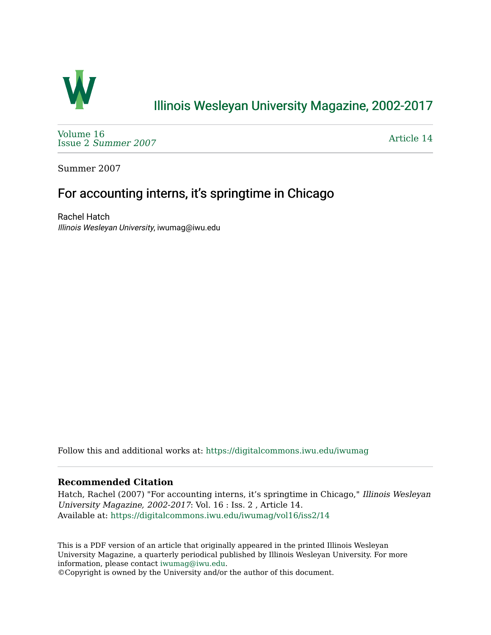

## [Illinois Wesleyan University Magazine, 2002-2017](https://digitalcommons.iwu.edu/iwumag)

[Volume 16](https://digitalcommons.iwu.edu/iwumag/vol16)  Issue 2 [Summer 2007](https://digitalcommons.iwu.edu/iwumag/vol16/iss2) 

[Article 14](https://digitalcommons.iwu.edu/iwumag/vol16/iss2/14) 

Summer 2007

## For accounting interns, it's springtime in Chicago

Rachel Hatch Illinois Wesleyan University, iwumag@iwu.edu

Follow this and additional works at: [https://digitalcommons.iwu.edu/iwumag](https://digitalcommons.iwu.edu/iwumag?utm_source=digitalcommons.iwu.edu%2Fiwumag%2Fvol16%2Fiss2%2F14&utm_medium=PDF&utm_campaign=PDFCoverPages) 

#### **Recommended Citation**

Hatch, Rachel (2007) "For accounting interns, it's springtime in Chicago," Illinois Wesleyan University Magazine, 2002-2017: Vol. 16 : Iss. 2 , Article 14. Available at: [https://digitalcommons.iwu.edu/iwumag/vol16/iss2/14](https://digitalcommons.iwu.edu/iwumag/vol16/iss2/14?utm_source=digitalcommons.iwu.edu%2Fiwumag%2Fvol16%2Fiss2%2F14&utm_medium=PDF&utm_campaign=PDFCoverPages) 

This is a PDF version of an article that originally appeared in the printed Illinois Wesleyan University Magazine, a quarterly periodical published by Illinois Wesleyan University. For more information, please contact [iwumag@iwu.edu](mailto:iwumag@iwu.edu).

©Copyright is owned by the University and/or the author of this document.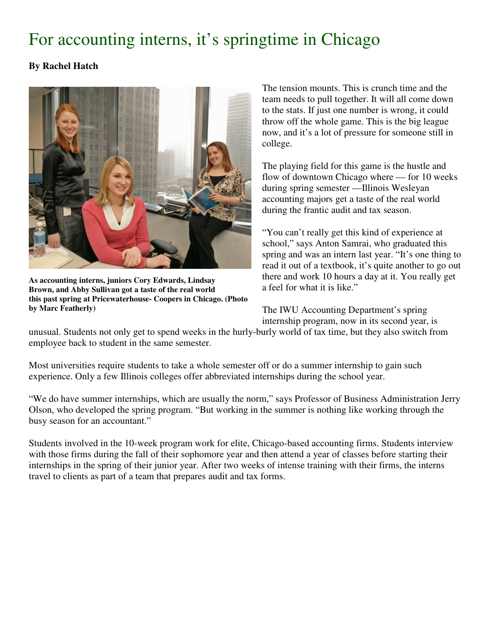# For accounting interns, it's springtime in Chicago

### **By Rachel Hatch**



**As accounting interns, juniors Cory Edwards, Lindsay Brown, and Abby Sullivan got a taste of the real world this past spring at Pricewaterhouse- Coopers in Chicago. (Photo by Marc Featherly)**

The tension mounts. This is crunch time and the team needs to pull together. It will all come down to the stats. If just one number is wrong, it could throw off the whole game. This is the big league now, and it's a lot of pressure for someone still in college.

The playing field for this game is the hustle and flow of downtown Chicago where — for 10 weeks during spring semester —Illinois Wesleyan accounting majors get a taste of the real world during the frantic audit and tax season.

"You can't really get this kind of experience at school," says Anton Samrai, who graduated this spring and was an intern last year. "It's one thing to read it out of a textbook, it's quite another to go out there and work 10 hours a day at it. You really get a feel for what it is like."

The IWU Accounting Department's spring internship program, now in its second year, is

unusual. Students not only get to spend weeks in the hurly-burly world of tax time, but they also switch from employee back to student in the same semester.

Most universities require students to take a whole semester off or do a summer internship to gain such experience. Only a few Illinois colleges offer abbreviated internships during the school year.

"We do have summer internships, which are usually the norm," says Professor of Business Administration Jerry Olson, who developed the spring program. "But working in the summer is nothing like working through the busy season for an accountant."

Students involved in the 10-week program work for elite, Chicago-based accounting firms. Students interview with those firms during the fall of their sophomore year and then attend a year of classes before starting their internships in the spring of their junior year. After two weeks of intense training with their firms, the interns travel to clients as part of a team that prepares audit and tax forms.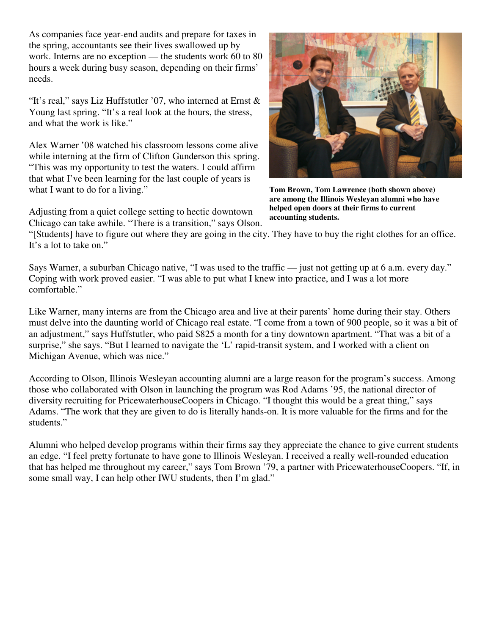As companies face year-end audits and prepare for taxes in the spring, accountants see their lives swallowed up by work. Interns are no exception — the students work 60 to 80 hours a week during busy season, depending on their firms' needs.

"It's real," says Liz Huffstutler '07, who interned at Ernst  $\&$ Young last spring. "It's a real look at the hours, the stress, and what the work is like."

Alex Warner '08 watched his classroom lessons come alive while interning at the firm of Clifton Gunderson this spring. "This was my opportunity to test the waters. I could affirm that what I've been learning for the last couple of years is what I want to do for a living."

Adjusting from a quiet college setting to hectic downtown Chicago can take awhile. "There is a transition," says Olson.



**Tom Brown, Tom Lawrence (both shown above) are among the Illinois Wesleyan alumni who have helped open doors at their firms to current accounting students.**

"[Students] have to figure out where they are going in the city. They have to buy the right clothes for an office. It's a lot to take on."

Says Warner, a suburban Chicago native, "I was used to the traffic — just not getting up at 6 a.m. every day." Coping with work proved easier. "I was able to put what I knew into practice, and I was a lot more comfortable."

Like Warner, many interns are from the Chicago area and live at their parents' home during their stay. Others must delve into the daunting world of Chicago real estate. "I come from a town of 900 people, so it was a bit of an adjustment," says Huffstutler, who paid \$825 a month for a tiny downtown apartment. "That was a bit of a surprise," she says. "But I learned to navigate the 'L' rapid-transit system, and I worked with a client on Michigan Avenue, which was nice."

According to Olson, Illinois Wesleyan accounting alumni are a large reason for the program's success. Among those who collaborated with Olson in launching the program was Rod Adams '95, the national director of diversity recruiting for PricewaterhouseCoopers in Chicago. "I thought this would be a great thing," says Adams. "The work that they are given to do is literally hands-on. It is more valuable for the firms and for the students."

Alumni who helped develop programs within their firms say they appreciate the chance to give current students an edge. "I feel pretty fortunate to have gone to Illinois Wesleyan. I received a really well-rounded education that has helped me throughout my career," says Tom Brown '79, a partner with PricewaterhouseCoopers. "If, in some small way, I can help other IWU students, then I'm glad."